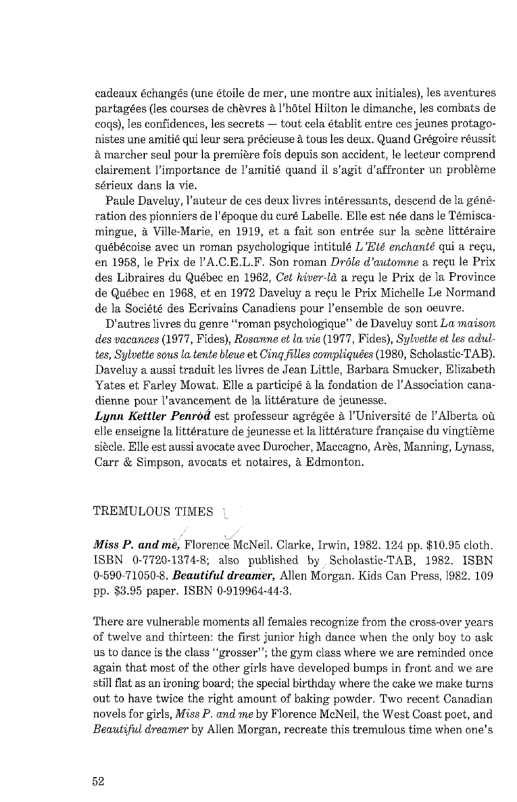cadeaux &changes (une etoile de mer, une montre aux initiales), les aventures partagkes (les courses de chevres *B* l'hbtel Hilton le dimanche, les combats de cogs), les confidences, les secrets — tout cela établit entre ces jeunes protagonistes une amitié qui leur sera précieuse à tous les deux. Quand Grégoire réussit *B* marcher seul pour la premiere fois depuis son accident, le lecteur comprend clairement l'importance de l'amitie quand il s'agit d'affronter un probleme sérieux dans la vie.

Paule Daveluy, l'auteur de ces deux livres intéressants, descend de la génération des pionniers de l'époque du curé Labelle. Elle est née dans le Témiscamingue, à Ville-Marie, en 1919, et a fait son entrée sur la scène littéraire quebecoise avec un roman psychologique intitule *L'Eti enchant6* qui a rep, en 1958, le Prix de 1'A.C.E.L.F. Son roman *Dr6le d'automne* a requ le Prix des Libraires du Québec en 1962, Cet hiver-là a reçu le Prix de la Province de Quebec en 1968, et en 1972 Daveluy a requ le Prix Michelle Le Normand de la Société des Ecrivains Canadiens pour l'ensemble de son oeuvre.

D'autres livres du genre "roman psychologique" de Daveluy sont *La maison des vacances* (1977, Fides), *Rosanne et La vie* (1977, Fides), *Sylvette et les adultes, Sylvette sous La tente blew* et *Cinqfilles compliquies* (1980, Scholastic-TAB). Daveluy a aussi traduit les livres de Jean Little, Barbara Smucker, Elizabeth Yates et Farley Mowat. Elle a participé à la fondation de l'Association canadienne pour l'avancement de la littérature de jeunesse.

*Lynn Kettler Penród* est professeur agrégée à l'Université de l'Alberta où elle enseigne la littérature de jeunesse et la littérature française du vingtième siecle. Elle est aussi avocate avec Durocher, Maccagno, Ares, Manning, Lynass, Carr & Simpson, avocats et notaires, à Edmonton.

## TREMULOUS TIMES

Miss P. and me, Florence McNeil. Clarke, Irwin, 1982. 124 pp. \$10.95 cloth. ISBN 0-7720-1374-8; also published by Scholastic-TAB, 1982. ISBN 0-590-71050-8. *Beautiful dreamer,* Allen Morgan. Kids Can Press, 1982. 109 pp. \$3.95 paper. ISBN 0-919964-44-3.

There are vulnerable moments all females recognize from the cross-over years of twelve and thirteen: the first junior high dance when the only boy to ask us to dance is the class "grosser"; the gym class where we are reminded once again that most of the other girls have developed bumps in front and we are still flat as an ironing board; the special birthday where the cake we make turns out to have twice the right amount of baking powder. Two recent Canadian novels for girls, *Miss* P. *and me* by Florence McNeil, the West Coast poet, and *Beautuful dreamer* by Allen Morgan, recreate this tremulous time when one's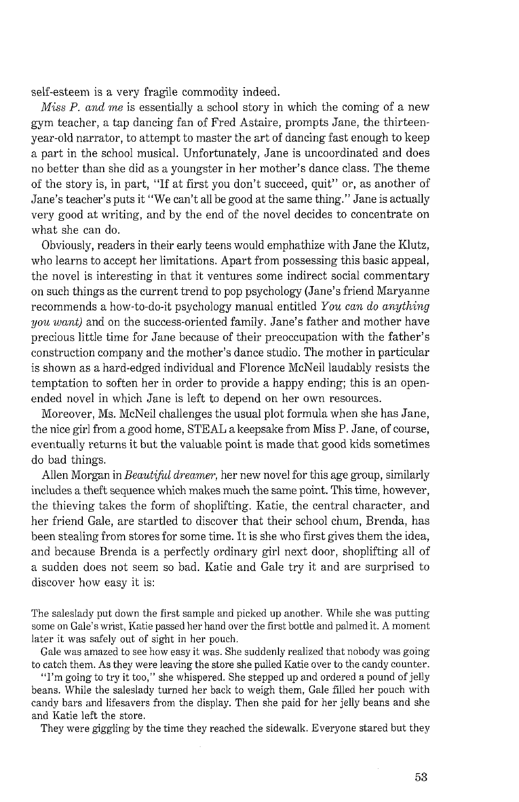self-esteem is a very fragile commodity indeed.

*Miss P. and me* is essentially a school story in which the coming of a new gym teacher, a tap dancing fan of Fred Astaire, prompts Jane, the thirteenyear-old narrator, to attempt to master the art of dancing fast enough to keep a part in the school musical. Unfortunately, Jane is uncoordinated and does no better than she did as a youngster in her mother's dance class. The theme of the story is, in part, "If at first you don't succeed, quit" or, as another of Jane's teacher's puts it "We can't all be good at the same thing." Jane is actually very good at writing, and by the end of the novel decides to concentrate on what she can do.

Obviously, readers in their early teens would emphathize with Jane the Klutz, who learns to accept her limitations. Apart from possessing this basic appeal, the novel is interesting in that it ventures some indirect social commentary on such things as the current trend to pop psychology (Jane's friend Maryanne recommends a how-to-do-it psychology manual entitled *You can do anything you want)* and on the success-oriented family. Jane's father and mother have precious little time for Jane because of their preoccupation with the father's construction company and the mother's dance studio. The mother in particular is shown as a hard-edged individual and Florence McNeil laudably resists the temptation to soften her in order to provide a happy ending; this is an openended novel in which Jane is left to depend on her own resources.

Moreover, Ms. McNeil challenges the usual plot formula when she has Jane, the nice girl from a good home, STEAL a keepsake from Miss P. Jane, of course, eventually returns it but the valuable point is made that good kids sometimes do bad things.

Allen Morgan in *Beautijkl dreamer,* her new novel for this age group, similarly includes a theft sequence which makes much the same point. This time, however, the thieving takes the form of shoplifting. Katie, the central character, and her friend Gale, are startled to discover that their school chum, Brenda, has been stealing from stores for some time. It is she who first gives them the idea, and because Brenda is a perfectly ordinary girl next door, shoplifting all of a sudden does not seem so bad. Katie and Gale try it and are surprised to discover how easy it is:

The saleslady put down the first sample and picked up another. While she was putting some on Gale's wrist, Katie passed her hand over the first bottle and palmed it. A moment later it was safely out of sight in her pouch.

Gale was amazed to see how easy it was. She suddenly realized that nobody was going to catch them. As they were leaving the store she pulled Katie over to the candy counter.

"I'm going to try it too," she whispered. She stepped up and ordered a pound of jelly beans. While the saleslady turned her back to weigh them, Gale filled her pouch with candy bars and lifesavers from the display. Then she paid for her jelly beans and she and Katie left the store.

They were giggling by the time they reached the sidewalk. Everyone stared but they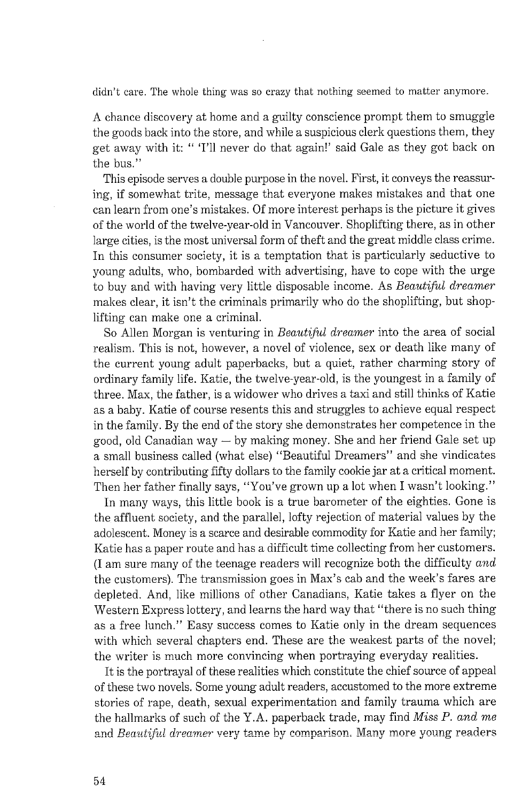didn't care. The whole thing was so crazy that nothing seemed to matter anymore.

A chance discovery at home and a guilty conscience prompt them to smuggle the goods back into the store, and while a suspicious clerk questions them, they get away with it: "'I'll never do that again!' said Gale as they got back on the bus."

This episode serves a double purpose in the novel. First, it conveys the reassuring, if somewhat trite, message that everyone makes mistakes and that one can learn from one's mistakes. Of more interest perhaps is the picture it gives of the world of the twelve-year-old in Vancouver. Shoplifting there, as in other large cities, is the most universal form of theft and the great middle class crime. In this consumer society, it is a temptation that is particularly seductive to young adults, who, bombarded with advertising, have to cope with the urge to buy and with having very little disposable income. As *Beautiful dreamer*  makes clear, it isn't the criminals primarily who do the shoplifting, but shoplifting can make one a criminal.

So Allen Morgan is venturing in *Beautiful dreamer* into the area of social realism. This is not, however, a novel of violence, sex or death like many of the current young adult paperbacks, but a quiet, rather charming story of ordinary family life. Katie, the twelve-year-old, is the youngest in a family of three. Max, the father, is a widower who drives a taxi and still thinks of Katie as a baby. Katie of course resents this and struggles to achieve equal respect in the family. By the end of the story she demonstrates her competence in the good, old Canadian way  $-$  by making money. She and her friend Gale set up a small business called (what else) "Beautiful Dreamers" and she vindicates herself by contributing fifty dollars to the family cookie jar at a critical moment. Then her father finally says, "You've grown up a lot when I wasn't looking."

In many ways, this little book is a true barometer of the eighties. Gone is the affluent society, and the parallel, lofty rejection of material values by the adolescent. Money is a scarce and desirable commodity for Katie and her family; Katie has a paper route and has a difficult time collecting from her customers. (I am sure many of the teenage readers will recognize both the difficulty *and*  the customers). The transmission goes in Max's cab and the week's fares are depleted. And, like millions of other Canadians, Katie takes a flyer on the Western Express lottery, and learns the hard way that "there is no such thing as a free lunch." Easy success comes to Katie only in the dream sequences with which several chapters end. These are the weakest parts of the novel; the writer is much more convincing when portraying everyday realities.

It is the portrayal of these realities which constitute the chief source of appeal of these two novels. Some young adult readers, accustomed to the more extreme stories of rape, death, sexual experimentation and family trauma which are the hallmarks of such of the Y.A. paperback trade, may find Miss P. *and me*  and *Beautiful dreamer* very tame by comparison. Many more young readers